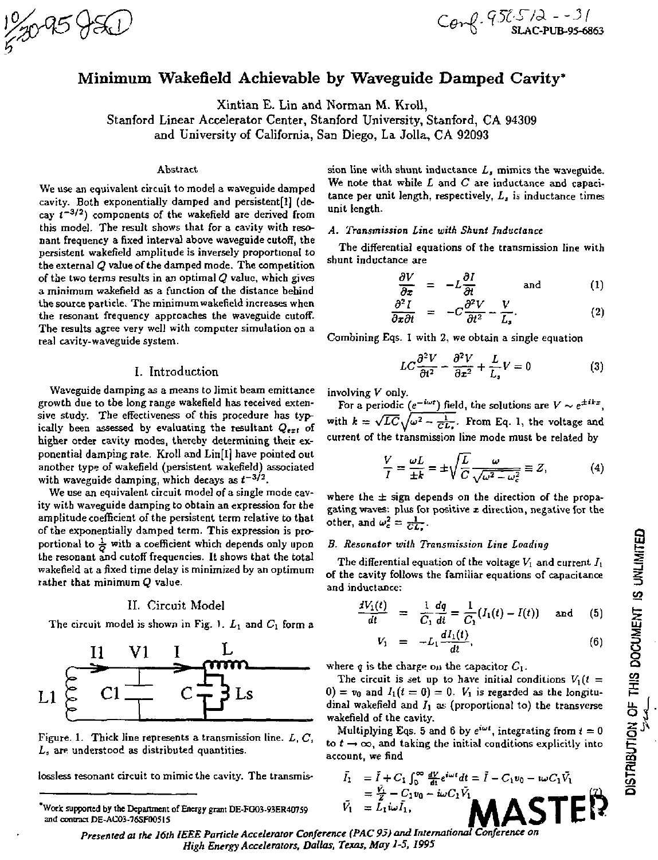# Minimum Wakefield Achievable by Waveguide Damped Cavity\*

Xintian E. Lin and Norman M. Kroil,

Stanford Linear Accelerator Center, Stanford University, Stanford, CA 94309 and University of California, San Diego, La Jolla, CA 92093

### Abstract

We use an equivalent circuit to model a waveguide damped cavity. Both exponentially damped and persistent[l] (decay  $t^{-3/2}$ ) components of the wakefield are derived from this model. The result shows that for a cavity with resonant frequency a fixed interval above waveguide cutoff, the persistent wakefield amplitude is inversely proportional to the external *Q* value of the damped mode. The competition of the two terms results in an optimal *Q* value, which gives a minimum wakefield as a function of the distance behind the source particle. The minimum wakefield increases when the resonant frequency approaches the waveguide cutoff. The results agree very well with computer simulation on a real cavity-waveguide system.

# I. Introduction

Waveguide damping as a means to limit beam emittance growth due to the long range wakefield has received extensive study. The effectiveness of this procedure has typically been assessed by evaluating the resultant  $Q_{ext}$  of higher order cavity modes, thereby determining their exponential damping rate. Kroll and Lin[l] have pointed out another type of wakefield (persistent wakefield) associated with waveguide damping, which decays as  $t^{-3/2}$ .

We use an equivalent circuit model of a single mode cavity with waveguide damping to obtain an expression for the amplitude coefficient of the persistent term relative to that of the exponentially damped term. This expression is proportional to  $\frac{1}{n}$  with a coefficient which depends only upon the resonant and cutoff frequencies. It shows that the total wakefield at a fixed time delay is minimized by an optimum rather that minimum *Q* value.

## II. Circuit Model

The circuit model is shown in Fig. 1.  $L_1$  and  $C_1$  form a



Figure. 1. Thick line represents a transmission line. *L, C, L,* are understood as distributed quantities.

lossless resonant circuit to mimic the cavity. The transmis-

sion line with shunt inductance *La* mimics the waveguide. We note that while *L* and *C* are inductance and capacitance per unit length, respectively, *L3* is inductance times unit length.

## *A. Transmission Line with Shunt Inductance*

The differential equations of the transmission line with shunt inductance are

$$
\frac{\partial V}{\partial z} = -L \frac{\partial I}{\partial t} \quad \text{and} \quad (1)
$$

$$
\frac{\partial^2 I}{\partial x \partial t} = -C \frac{\partial^2 V}{\partial t^2} - \frac{V}{L_s}.
$$
 (2)

Combining Eqs. I with 2, we obtain a single equation

$$
LC\frac{\partial^2 V}{\partial t^2} - \frac{\partial^2 V}{\partial x^2} + \frac{L}{L_s}V = 0
$$
 (3)

involving *V* only.

For a periodic ( $e^{-i\omega t}$ ) field, the solutions are  $V \sim e^{\pm i t x}$ , with  $k = \sqrt{LC}\sqrt{\omega^2 - \frac{1}{CL}}$ . From Eq. current of the transmission line mode must be related by

$$
\frac{V}{I} = \frac{\omega L}{\pm k} = \pm \sqrt{\frac{L}{C}} \frac{\omega}{\sqrt{\omega^2 - \omega_c^2}} \equiv Z,
$$
 (4)

where the  $\pm$  sign depends on the direction of the propagating waves: plus for positive *x* direction, negative for the other, and  $\omega_c^2 = \frac{1}{C}$ .

## *B. Resonator with Transmission Line Loading*

The differential equation of the voltage  $V_1$  and current  $I_1$ of the cavity follows the familiar equations of capacitance and inductance:

$$
\frac{dV_1(t)}{dt} = \frac{1}{C_1}\frac{dq}{dt} = \frac{1}{C_1}(I_1(t) - I(t)) \text{ and } (5)
$$

$$
V_1 = -L_1 \frac{dI_1(t)}{dt}, \t\t(6)
$$

where  $q$  is the charge on the capacitor  $C_1$ .

The circuit is set up to have initial conditions  $V_1(t)$  =  $0$ ) =  $v_0$  and  $I_1(t = 0) = 0$ .  $V_1$  is regarded as the longitudinal wakefield and  $I_1$  as (proportional to) the transverse wakefield of the cavity.

Multiplying Eqs. 5 and 6 by  $e^{i\omega t}$ , integrating from  $t = 0$ to  $t \rightarrow \infty$ , and taking the initial conditions explicitly into account, we find

= £ - *Civ<sup>a</sup> - iudV, • I - C,v0 - iudVi*  **MASTER**  *Presented at the 16th IEEE Particle Accelerator Conference (PAC 95) and International Conference on* 

*High Energy Accelerators, Dallas, Texas, May 1-5, 1995* 

Work supported by the Department of Energy grant DE-FG03-93ER407S9 and contract DE-AC03-76SF00515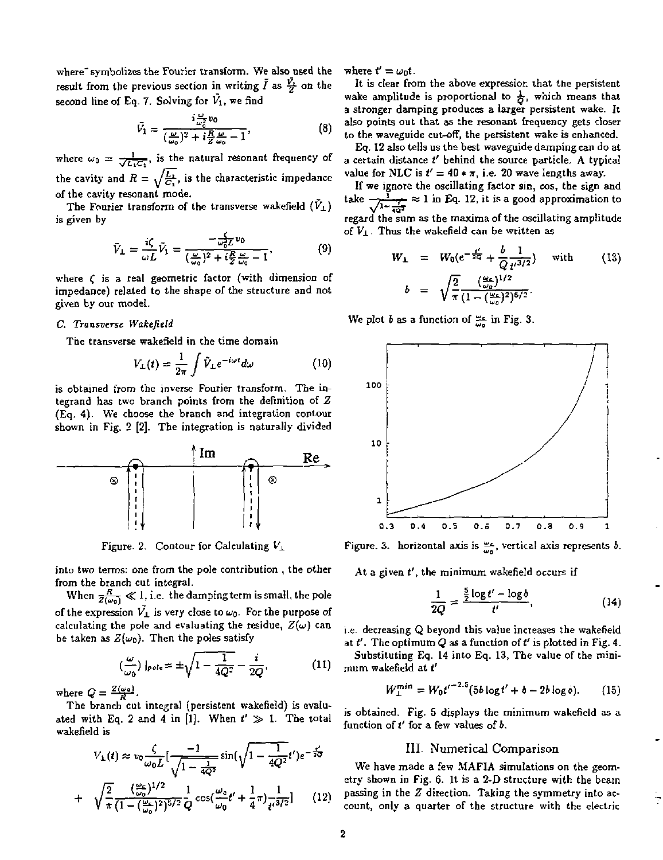where<sup>-</sup> symbolizes the Fourier transform. We also used the result from the previous section in writing  $\tilde{I}$  as  $\frac{\tilde{V}_1}{\tilde{V}}$  on the second line of Eq. 7. Solving for  $\tilde{V}_1$ , we find

$$
\tilde{V}_1 = \frac{i\frac{\omega}{\omega_0^2}v_0}{(\frac{\omega}{\omega_0})^2 + i\frac{R}{Z}\frac{\omega}{\omega_0} - 1},\tag{8}
$$

where  $\omega_0 = \frac{1}{\sqrt{L_1 C_1}}$ , is the natural resonant frequency of the cavity and  $R = \sqrt{\frac{L_1}{C_1}}$ , is the characteristic impedance of the cavity resonant mode.

The Fourier transform of the transverse wakefield  $(\tilde{V}_\perp)$ is given by

$$
\tilde{V}_{\perp} = \frac{i\zeta}{\omega L} \tilde{V}_1 = \frac{-\frac{1}{\omega_0^2 L} v_0}{(\frac{\omega}{\omega_0})^2 + i\frac{R}{2} \frac{\omega}{\omega_0} - 1},\tag{9}
$$

where  $\epsilon$  is a real geometric factor (with dimension of impedance) related to the shape of the structure and not given by our model.

## *C. Transverse Wakefield*

The transverse wakefield in the time domain

$$
V_{\perp}(t) = \frac{1}{2\pi} \int \tilde{V}_{\perp} e^{-i\omega t} d\omega \qquad (10)
$$

is obtained from the inverse Fourier transform. The integrand has two branch points from the definition of *Z*  (Eq. 4). We choose the branch and integration contour shown in Fig. 2 [2], The integration is naturally divided



Figure. 2. Contour for Calculating  $V_1$ 

into two terms: one from the pole contribution , the other from the branch cut integral.

When  $\frac{R}{Z(\omega_0)} \ll 1$ , i.e. the damping term is small, the pole of the expression  $\vec{V_1}$  is very close to  $\omega_0$ . For the purpose of calculating the pole and evaluating the residue,  $Z(\omega)$  can be taken as  $Z(\omega_0)$ . Then the poles satisfy

$$
\left(\frac{\omega}{\omega_0}\right)|_{pole} = \pm \sqrt{1 - \frac{1}{4Q^2}} - \frac{i}{2Q},\tag{11}
$$

where  $Q = \frac{Z(\omega_0)}{R}$ .

The branch cut integral (persistent wakefield) is evaluated with Eq. 2 and 4 in [1]. When  $t' \gg 1$ . The total wakefield is

$$
V_{\perp}(t) \approx v_0 \frac{\zeta}{\omega_0 L} \left[ \frac{-1}{\sqrt{1 - \frac{1}{4Q^2}}} \sin(\sqrt{1 - \frac{1}{4Q^2}} t') e^{-\frac{t}{2Q}}
$$
  
+ 
$$
\sqrt{\frac{2}{\pi}} \frac{(\frac{\omega_0}{\omega_0})^{1/2}}{(1 - (\frac{\omega_0}{\omega_0})^2)^{5/2}} \frac{1}{Q} \cos(\frac{\omega_0}{\omega_0} t' + \frac{1}{4} \pi) \frac{1}{t'^{3/2}} \right]
$$
(12)

where  $t' = \omega_0 t$ .

It is clear from the above expression that the persistent wake amplitude is proportional to  $\frac{1}{\mathcal{O}}$ , which means that a stronger damping produces a larger persistent wake. It also points out that as the resonant frequency gets closer to the waveguide cut-off, the persistent wake is enhanced.

Eq. 12 also tells us the best waveguide damping can do at a certain distance *I'* behind the source particle. A typical value for NLC is  $t' = 40 * \pi$ , i.e. 20 wave lengths away.

If we ignore the oscillating factor sin, cos, the sign and take  $\frac{1}{\sqrt{1-\frac{1}{407}}} \approx 1$  in Eq. 12, it is a good approximation to regard the sum as the maxima of the oscillating amplitude of  $V_1$ . Thus the wakefield can be written as

$$
W_{\perp} = W_0(e^{-\frac{t'}{4Q}} + \frac{b}{Q}\frac{1}{t'^{3/2}}) \text{ with } (13)
$$
  

$$
b = \sqrt{\frac{2}{\pi}} \frac{(\frac{w_0}{\omega_0})^{1/2}}{(1 - (\frac{w_0}{\omega_0})^2)^{5/2}}.
$$

We plot 6 as a function of *^f-* in Fig. 3.



Figure. 3. horizontal axis is  $\frac{\omega_c}{\omega_0}$ , vertical axis represents *b*.

At a given  $t'$ , the minimum wakefield occurs if

$$
\frac{1}{2Q} = \frac{\frac{5}{2}\log t' - \log b}{t'}
$$
\n(14)

i.e. decreasing Q beyond this value increases the wakefield at  $t'$ . The optimum  $Q$  as a function of  $t'$  is plotted in Fig. 4.

Substituting Eq. 14 into Eq. 13, The value of the minimum wakefield at *t'* 

$$
W_{\perp}^{min} = W_0 t^{r-2.5} (5b \log t' + b - 2b \log 0). \qquad (15)
$$

is obtained. Fig. 5 displays the minimum wakefield as a function of t' for a few values of b.

## III. Numerical Comparison

We have made a few MAFIA simulations on the geometry shown in Fig. 6. It is a 2-D structure with the beam passing in the *Z* direction. Taking the symmetry into account, only a quarter of the structure with the electric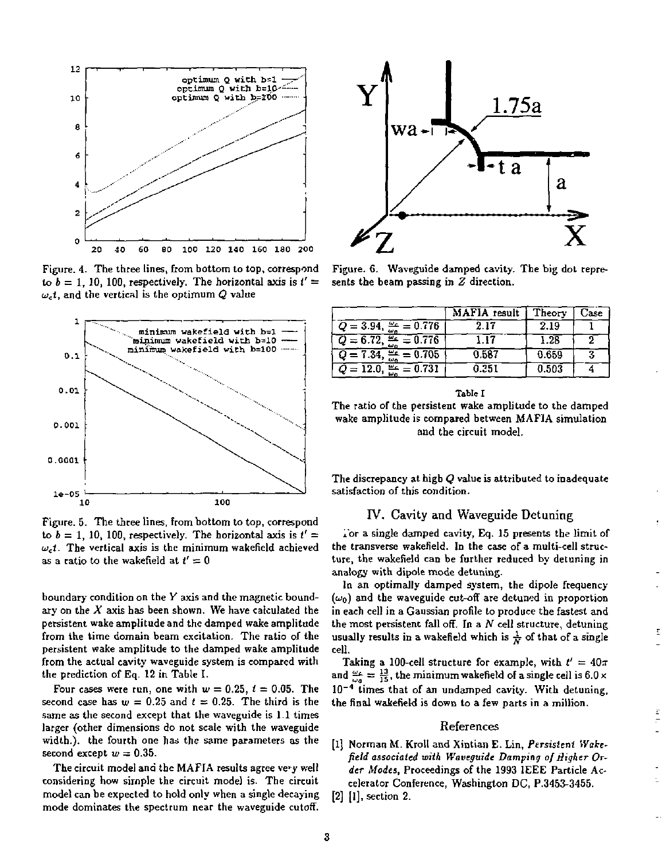

Figure. 4. The three lines, from bottom to top, correspond to  $b = 1$ , 10, 100, respectively. The horizontal axis is  $t' =$  $\omega_c t$ , and the vertical is the optimum  $Q$  value



Figure. 5. The three lines, from bottom to top, correspond to  $b = 1$ , 10, 100, respectively. The horizontal axis is  $t' =$ *uet.* The vertical axis is the minimum wakefield achieved as a ratio to the wakefield at  $t' = 0$ 

boundary condition on the *Y* axis and the magnetic boundary on the *X* axis has been shown. We have calculated the persistent wake amplitude and the damped wake amplitude from the time domain beam excitation. The ratio of the persistent wake amplitude to the damped wake amplitude from the actual cavity waveguide system is compared with the prediction of Eq. 12 in Table I.

Four cases were run, one with  $w = 0.25$ ,  $t = 0.05$ . The second case has  $w = 0.25$  and  $t = 0.25$ . The third is the same as the second except that the waveguide is 1.1 times larger (other dimensions do not scale with the waveguide width.), the fourth one has the same parameters as the second except  $w = 0.35$ .

The circuit model and the MAFIA results agree very well considering how simple the circuit model is. The circuit model can be expected to hold only when a single decaying mode dominates the spectrum near the waveguide cutoff.



Figure. 6. Waveguide damped cavity. The big dot represents the beam passing in *Z* direction.

|                                         | MAFIA result | Theory | Jase |
|-----------------------------------------|--------------|--------|------|
| $Q = 3.94$ , $\frac{9.6}{10.6} = 0.776$ | 2.17         | 2.19   |      |
| $Q = 6.72$<br>$\frac{62}{5} = 0.776$    | 1.17         | 1.28   | 2    |
| 0.705<br>$Q = 7.34$                     | 0.587        | 0.659  | 2    |
| 0.731                                   | 0.351        | 0.503  |      |

| ТаЫе Г                                                   |
|----------------------------------------------------------|
| The ratio of the persistent wake amplitude to the damped |
| wake amplitude is compared between MAFIA simulation      |
| and the circuit model.                                   |

The discrepancy at high *Q* value is attributed to inadequate satisfaction of this condition.

# IV. Cavity and Waveguide Detuning

For a single damped cavity, Eq. 15 presents the limit of the transverse wakefield. In the case of a multi-cell structure, the wakefield can be further reduced by detuning in analogy with dipole mode detuning.

In an optimally damped system, the dipole frequency  $(\omega_0)$  and the waveguide cut-off are detuned in proportion in each cell in a Gaussian profile to produce the fastest and the most persistent fall off. In a *N* cell structure, detuning usually results in a wakefield which is  $\frac{1}{N}$  of that of a single cell.

Taking a 100-cell structure for example, with  $t' = 40\pi$ and  $\frac{3\pi}{2} = \frac{13}{18}$ , the minimum wakefield of a single cell is 6.0 x  $10^{-4}$  times that of an undamped cavity. With detuning, the final wakefield is down to a few parts in a million.

#### References

- [1] Norman M. Kroll and Xintian E. Lin, *Persistent Wakefield associated with Waveguide Damping of Higher Order Modes,* Proceedings of the 1993 IEEE Particle Accelerator Conference, Washington DC, P.3453-3455.
- [2] [1], section 2.